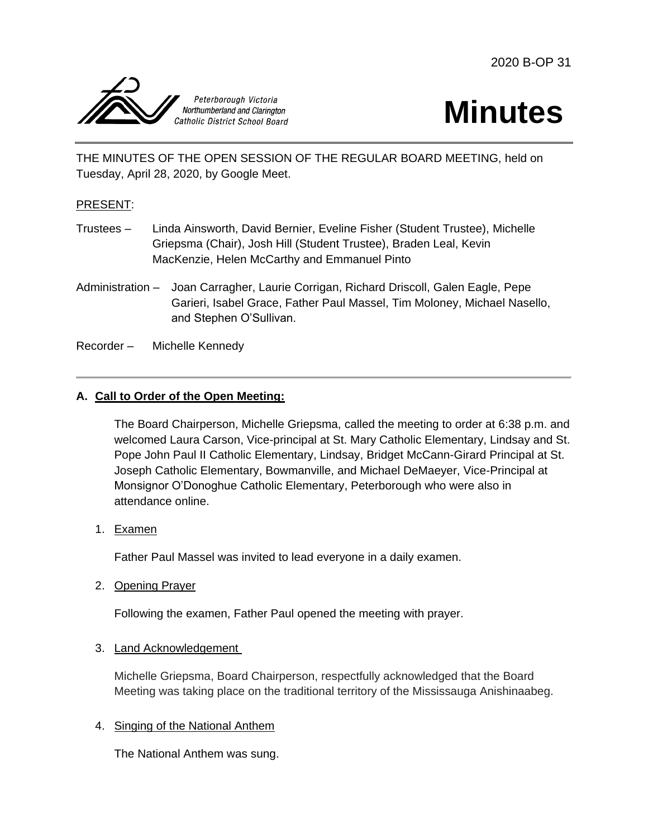



THE MINUTES OF THE OPEN SESSION OF THE REGULAR BOARD MEETING, held on Tuesday, April 28, 2020, by Google Meet.

### PRESENT:

- Trustees Linda Ainsworth, David Bernier, Eveline Fisher (Student Trustee), Michelle Griepsma (Chair), Josh Hill (Student Trustee), Braden Leal, Kevin MacKenzie, Helen McCarthy and Emmanuel Pinto
- Administration Joan Carragher, Laurie Corrigan, Richard Driscoll, Galen Eagle, Pepe Garieri, Isabel Grace, Father Paul Massel, Tim Moloney, Michael Nasello, and Stephen O'Sullivan.

Recorder – Michelle Kennedy

## **A. Call to Order of the Open Meeting:**

The Board Chairperson, Michelle Griepsma, called the meeting to order at 6:38 p.m. and welcomed Laura Carson, Vice-principal at St. Mary Catholic Elementary, Lindsay and St. Pope John Paul II Catholic Elementary, Lindsay, Bridget McCann-Girard Principal at St. Joseph Catholic Elementary, Bowmanville, and Michael DeMaeyer, Vice-Principal at Monsignor O'Donoghue Catholic Elementary, Peterborough who were also in attendance online.

1. Examen

Father Paul Massel was invited to lead everyone in a daily examen.

2. Opening Prayer

Following the examen, Father Paul opened the meeting with prayer.

3. Land Acknowledgement

Michelle Griepsma, Board Chairperson, respectfully acknowledged that the Board Meeting was taking place on the traditional territory of the Mississauga Anishinaabeg.

#### 4. Singing of the National Anthem

The National Anthem was sung.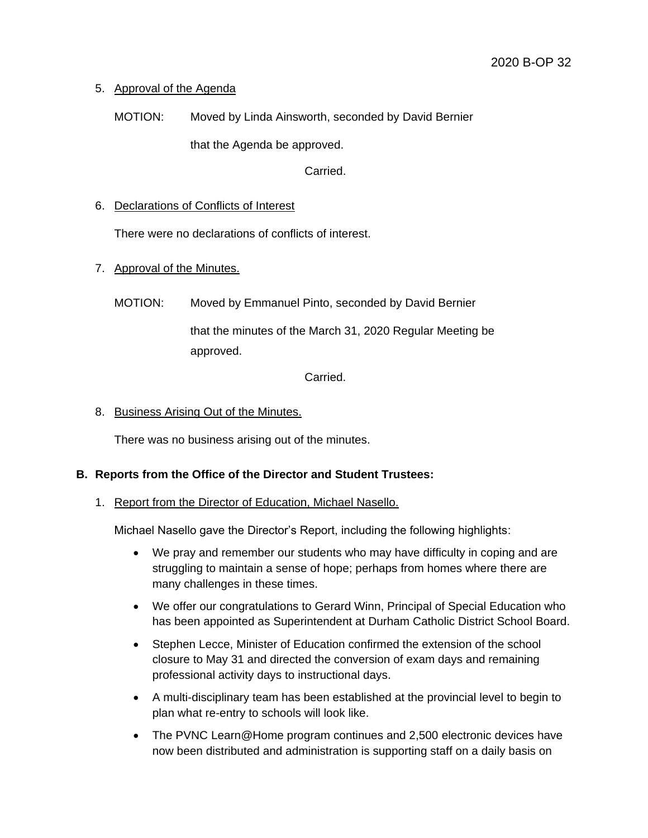# 5. Approval of the Agenda

MOTION: Moved by Linda Ainsworth, seconded by David Bernier

that the Agenda be approved.

Carried.

## 6. Declarations of Conflicts of Interest

There were no declarations of conflicts of interest.

## 7. Approval of the Minutes.

MOTION: Moved by Emmanuel Pinto, seconded by David Bernier

that the minutes of the March 31, 2020 Regular Meeting be approved.

Carried.

## 8. Business Arising Out of the Minutes.

There was no business arising out of the minutes.

# **B. Reports from the Office of the Director and Student Trustees:**

1. Report from the Director of Education, Michael Nasello.

Michael Nasello gave the Director's Report, including the following highlights:

- We pray and remember our students who may have difficulty in coping and are struggling to maintain a sense of hope; perhaps from homes where there are many challenges in these times.
- We offer our congratulations to Gerard Winn, Principal of Special Education who has been appointed as Superintendent at Durham Catholic District School Board.
- Stephen Lecce, Minister of Education confirmed the extension of the school closure to May 31 and directed the conversion of exam days and remaining professional activity days to instructional days.
- A multi-disciplinary team has been established at the provincial level to begin to plan what re-entry to schools will look like.
- The PVNC Learn@Home program continues and 2,500 electronic devices have now been distributed and administration is supporting staff on a daily basis on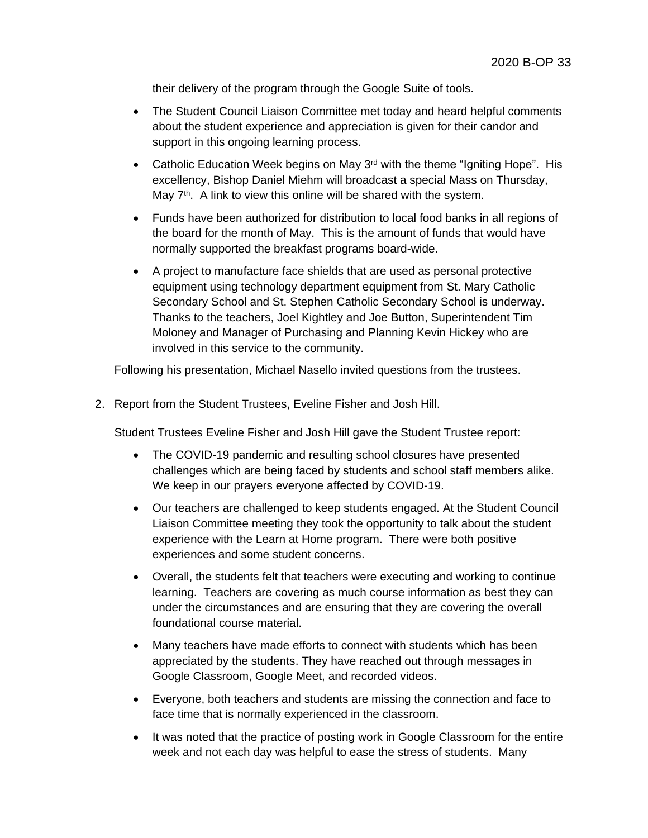their delivery of the program through the Google Suite of tools.

- The Student Council Liaison Committee met today and heard helpful comments about the student experience and appreciation is given for their candor and support in this ongoing learning process.
- Catholic Education Week begins on May  $3<sup>rd</sup>$  with the theme "Igniting Hope". His excellency, Bishop Daniel Miehm will broadcast a special Mass on Thursday, May  $7<sup>th</sup>$ . A link to view this online will be shared with the system.
- Funds have been authorized for distribution to local food banks in all regions of the board for the month of May. This is the amount of funds that would have normally supported the breakfast programs board-wide.
- A project to manufacture face shields that are used as personal protective equipment using technology department equipment from St. Mary Catholic Secondary School and St. Stephen Catholic Secondary School is underway. Thanks to the teachers, Joel Kightley and Joe Button, Superintendent Tim Moloney and Manager of Purchasing and Planning Kevin Hickey who are involved in this service to the community.

Following his presentation, Michael Nasello invited questions from the trustees.

#### 2. Report from the Student Trustees, Eveline Fisher and Josh Hill.

Student Trustees Eveline Fisher and Josh Hill gave the Student Trustee report:

- The COVID-19 pandemic and resulting school closures have presented challenges which are being faced by students and school staff members alike. We keep in our prayers everyone affected by COVID-19.
- Our teachers are challenged to keep students engaged. At the Student Council Liaison Committee meeting they took the opportunity to talk about the student experience with the Learn at Home program. There were both positive experiences and some student concerns.
- Overall, the students felt that teachers were executing and working to continue learning. Teachers are covering as much course information as best they can under the circumstances and are ensuring that they are covering the overall foundational course material.
- Many teachers have made efforts to connect with students which has been appreciated by the students. They have reached out through messages in Google Classroom, Google Meet, and recorded videos.
- Everyone, both teachers and students are missing the connection and face to face time that is normally experienced in the classroom.
- It was noted that the practice of posting work in Google Classroom for the entire week and not each day was helpful to ease the stress of students. Many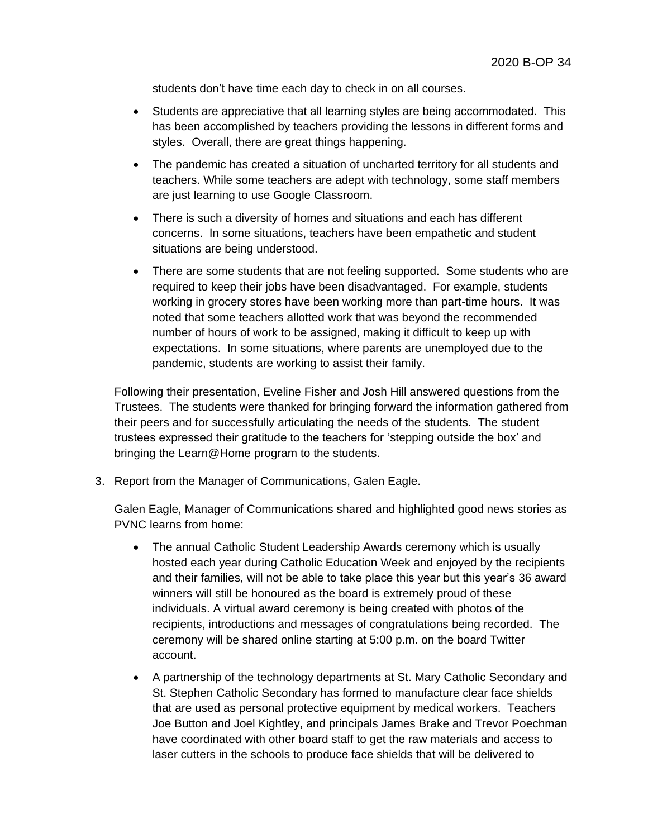students don't have time each day to check in on all courses.

- Students are appreciative that all learning styles are being accommodated. This has been accomplished by teachers providing the lessons in different forms and styles. Overall, there are great things happening.
- The pandemic has created a situation of uncharted territory for all students and teachers. While some teachers are adept with technology, some staff members are just learning to use Google Classroom.
- There is such a diversity of homes and situations and each has different concerns. In some situations, teachers have been empathetic and student situations are being understood.
- There are some students that are not feeling supported. Some students who are required to keep their jobs have been disadvantaged. For example, students working in grocery stores have been working more than part-time hours. It was noted that some teachers allotted work that was beyond the recommended number of hours of work to be assigned, making it difficult to keep up with expectations. In some situations, where parents are unemployed due to the pandemic, students are working to assist their family.

Following their presentation, Eveline Fisher and Josh Hill answered questions from the Trustees. The students were thanked for bringing forward the information gathered from their peers and for successfully articulating the needs of the students. The student trustees expressed their gratitude to the teachers for 'stepping outside the box' and bringing the Learn@Home program to the students.

#### 3. Report from the Manager of Communications, Galen Eagle.

Galen Eagle, Manager of Communications shared and highlighted good news stories as PVNC learns from home:

- The annual Catholic Student Leadership Awards ceremony which is usually hosted each year during Catholic Education Week and enjoyed by the recipients and their families, will not be able to take place this year but this year's 36 award winners will still be honoured as the board is extremely proud of these individuals. A virtual award ceremony is being created with photos of the recipients, introductions and messages of congratulations being recorded. The ceremony will be shared online starting at 5:00 p.m. on the board Twitter account.
- A partnership of the technology departments at St. Mary Catholic Secondary and St. Stephen Catholic Secondary has formed to manufacture clear face shields that are used as personal protective equipment by medical workers. Teachers Joe Button and Joel Kightley, and principals James Brake and Trevor Poechman have coordinated with other board staff to get the raw materials and access to laser cutters in the schools to produce face shields that will be delivered to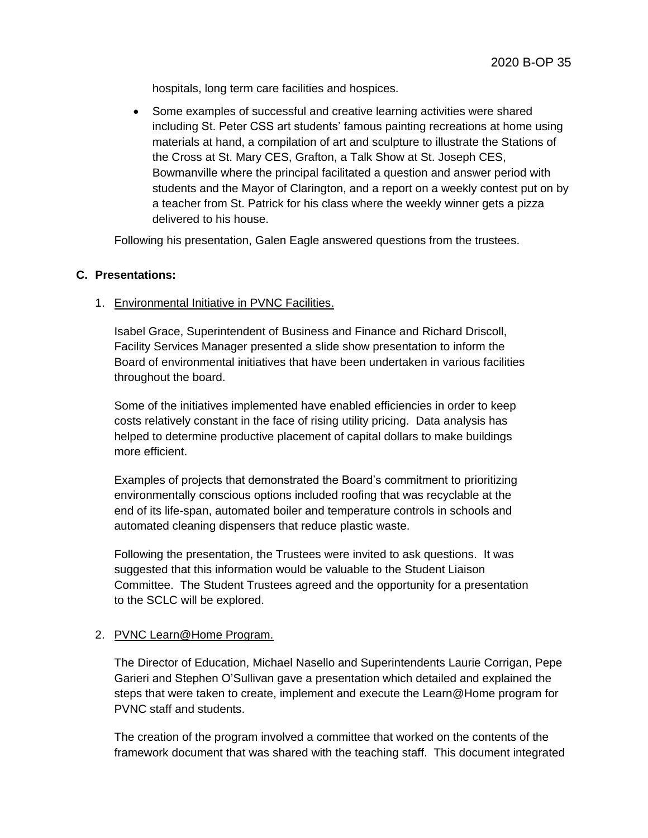hospitals, long term care facilities and hospices.

 Some examples of successful and creative learning activities were shared including St. Peter CSS art students' famous painting recreations at home using materials at hand, a compilation of art and sculpture to illustrate the Stations of the Cross at St. Mary CES, Grafton, a Talk Show at St. Joseph CES, Bowmanville where the principal facilitated a question and answer period with students and the Mayor of Clarington, and a report on a weekly contest put on by a teacher from St. Patrick for his class where the weekly winner gets a pizza delivered to his house.

Following his presentation, Galen Eagle answered questions from the trustees.

# **C. Presentations:**

## 1. Environmental Initiative in PVNC Facilities.

Isabel Grace, Superintendent of Business and Finance and Richard Driscoll, Facility Services Manager presented a slide show presentation to inform the Board of environmental initiatives that have been undertaken in various facilities throughout the board.

Some of the initiatives implemented have enabled efficiencies in order to keep costs relatively constant in the face of rising utility pricing. Data analysis has helped to determine productive placement of capital dollars to make buildings more efficient.

Examples of projects that demonstrated the Board's commitment to prioritizing environmentally conscious options included roofing that was recyclable at the end of its life-span, automated boiler and temperature controls in schools and automated cleaning dispensers that reduce plastic waste.

Following the presentation, the Trustees were invited to ask questions. It was suggested that this information would be valuable to the Student Liaison Committee. The Student Trustees agreed and the opportunity for a presentation to the SCLC will be explored.

# 2. PVNC Learn@Home Program.

The Director of Education, Michael Nasello and Superintendents Laurie Corrigan, Pepe Garieri and Stephen O'Sullivan gave a presentation which detailed and explained the steps that were taken to create, implement and execute the Learn@Home program for PVNC staff and students.

The creation of the program involved a committee that worked on the contents of the framework document that was shared with the teaching staff. This document integrated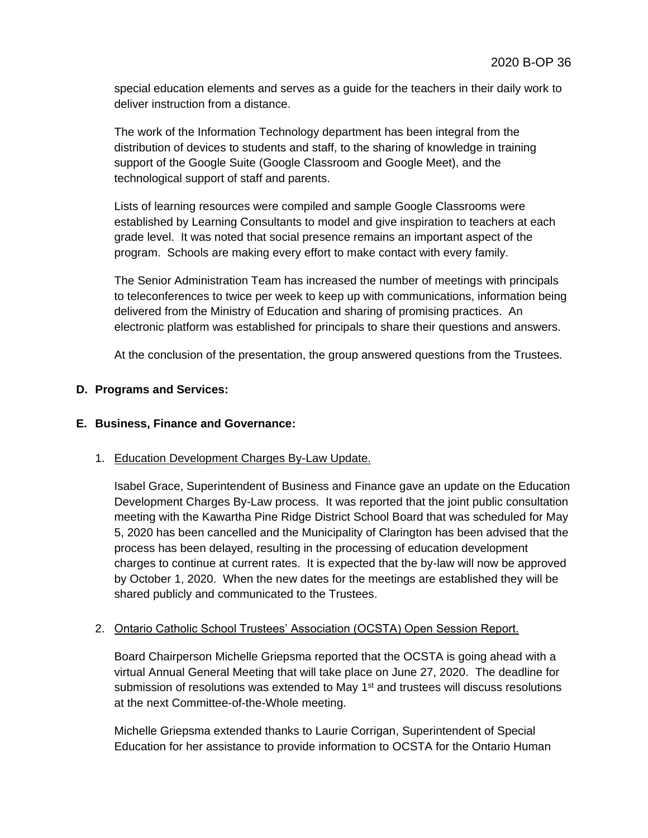special education elements and serves as a guide for the teachers in their daily work to deliver instruction from a distance.

The work of the Information Technology department has been integral from the distribution of devices to students and staff, to the sharing of knowledge in training support of the Google Suite (Google Classroom and Google Meet), and the technological support of staff and parents.

Lists of learning resources were compiled and sample Google Classrooms were established by Learning Consultants to model and give inspiration to teachers at each grade level. It was noted that social presence remains an important aspect of the program. Schools are making every effort to make contact with every family.

The Senior Administration Team has increased the number of meetings with principals to teleconferences to twice per week to keep up with communications, information being delivered from the Ministry of Education and sharing of promising practices. An electronic platform was established for principals to share their questions and answers.

At the conclusion of the presentation, the group answered questions from the Trustees.

## **D. Programs and Services:**

#### **E. Business, Finance and Governance:**

#### 1. Education Development Charges By-Law Update.

Isabel Grace, Superintendent of Business and Finance gave an update on the Education Development Charges By-Law process. It was reported that the joint public consultation meeting with the Kawartha Pine Ridge District School Board that was scheduled for May 5, 2020 has been cancelled and the Municipality of Clarington has been advised that the process has been delayed, resulting in the processing of education development charges to continue at current rates. It is expected that the by-law will now be approved by October 1, 2020. When the new dates for the meetings are established they will be shared publicly and communicated to the Trustees.

#### 2. Ontario Catholic School Trustees' Association (OCSTA) Open Session Report.

Board Chairperson Michelle Griepsma reported that the OCSTA is going ahead with a virtual Annual General Meeting that will take place on June 27, 2020. The deadline for submission of resolutions was extended to May 1<sup>st</sup> and trustees will discuss resolutions at the next Committee-of-the-Whole meeting.

Michelle Griepsma extended thanks to Laurie Corrigan, Superintendent of Special Education for her assistance to provide information to OCSTA for the Ontario Human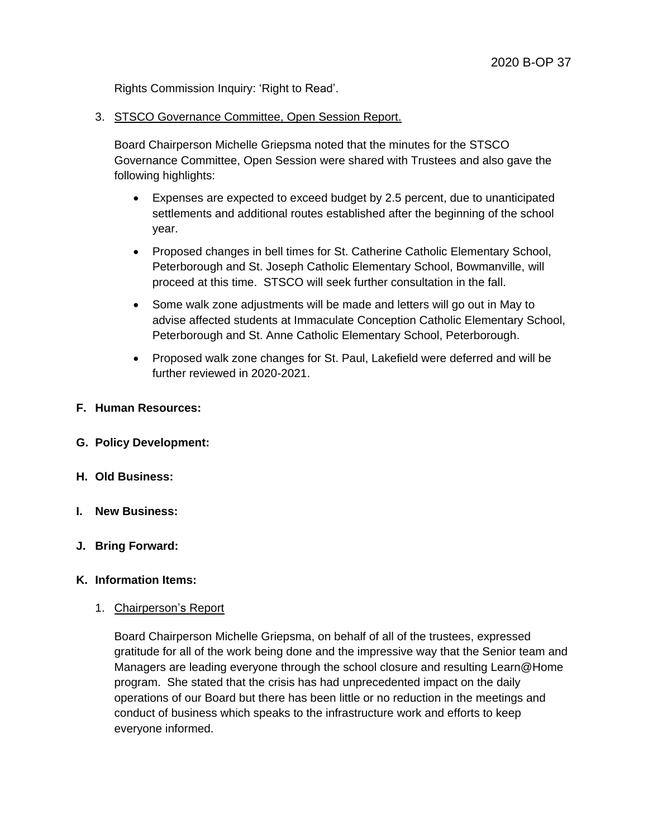Rights Commission Inquiry: 'Right to Read'.

3. STSCO Governance Committee, Open Session Report.

Board Chairperson Michelle Griepsma noted that the minutes for the STSCO Governance Committee, Open Session were shared with Trustees and also gave the following highlights:

- Expenses are expected to exceed budget by 2.5 percent, due to unanticipated settlements and additional routes established after the beginning of the school year.
- Proposed changes in bell times for St. Catherine Catholic Elementary School, Peterborough and St. Joseph Catholic Elementary School, Bowmanville, will proceed at this time. STSCO will seek further consultation in the fall.
- Some walk zone adjustments will be made and letters will go out in May to advise affected students at Immaculate Conception Catholic Elementary School, Peterborough and St. Anne Catholic Elementary School, Peterborough.
- Proposed walk zone changes for St. Paul, Lakefield were deferred and will be further reviewed in 2020-2021.
- **F. Human Resources:**
- **G. Policy Development:**
- **H. Old Business:**
- **I. New Business:**
- **J. Bring Forward:**
- **K. Information Items:**
	- 1. Chairperson's Report

Board Chairperson Michelle Griepsma, on behalf of all of the trustees, expressed gratitude for all of the work being done and the impressive way that the Senior team and Managers are leading everyone through the school closure and resulting Learn@Home program. She stated that the crisis has had unprecedented impact on the daily operations of our Board but there has been little or no reduction in the meetings and conduct of business which speaks to the infrastructure work and efforts to keep everyone informed.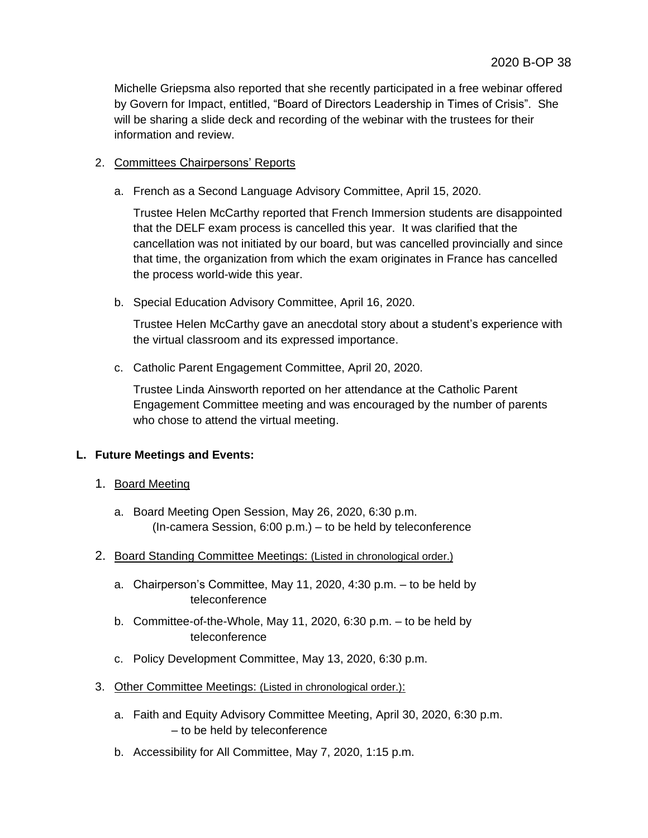Michelle Griepsma also reported that she recently participated in a free webinar offered by Govern for Impact, entitled, "Board of Directors Leadership in Times of Crisis". She will be sharing a slide deck and recording of the webinar with the trustees for their information and review.

# 2. Committees Chairpersons' Reports

a. French as a Second Language Advisory Committee, April 15, 2020.

Trustee Helen McCarthy reported that French Immersion students are disappointed that the DELF exam process is cancelled this year. It was clarified that the cancellation was not initiated by our board, but was cancelled provincially and since that time, the organization from which the exam originates in France has cancelled the process world-wide this year.

b. Special Education Advisory Committee, April 16, 2020.

Trustee Helen McCarthy gave an anecdotal story about a student's experience with the virtual classroom and its expressed importance.

c. Catholic Parent Engagement Committee, April 20, 2020.

Trustee Linda Ainsworth reported on her attendance at the Catholic Parent Engagement Committee meeting and was encouraged by the number of parents who chose to attend the virtual meeting.

# **L. Future Meetings and Events:**

- 1. Board Meeting
	- a. Board Meeting Open Session, May 26, 2020, 6:30 p.m. (In-camera Session, 6:00 p.m.) – to be held by teleconference
- 2. Board Standing Committee Meetings: (Listed in chronological order.)
	- a. Chairperson's Committee, May 11, 2020, 4:30 p.m. to be held by teleconference
	- b. Committee-of-the-Whole, May 11, 2020, 6:30 p.m. to be held by teleconference
	- c. Policy Development Committee, May 13, 2020, 6:30 p.m.
- 3. Other Committee Meetings: (Listed in chronological order.):
	- a. Faith and Equity Advisory Committee Meeting, April 30, 2020, 6:30 p.m. – to be held by teleconference
	- b. Accessibility for All Committee, May 7, 2020, 1:15 p.m.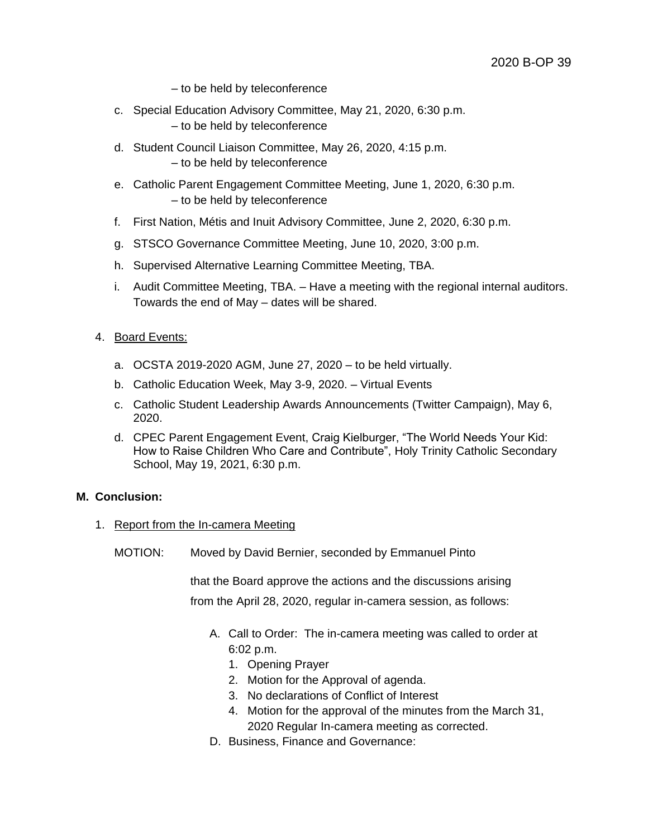- to be held by teleconference
- c. Special Education Advisory Committee, May 21, 2020, 6:30 p.m. – to be held by teleconference
- d. Student Council Liaison Committee, May 26, 2020, 4:15 p.m. – to be held by teleconference
- e. Catholic Parent Engagement Committee Meeting, June 1, 2020, 6:30 p.m. – to be held by teleconference
- f. First Nation, Métis and Inuit Advisory Committee, June 2, 2020, 6:30 p.m.
- g. STSCO Governance Committee Meeting, June 10, 2020, 3:00 p.m.
- h. Supervised Alternative Learning Committee Meeting, TBA.
- i. Audit Committee Meeting, TBA. Have a meeting with the regional internal auditors. Towards the end of May – dates will be shared.

#### 4. Board Events:

- a. OCSTA 2019-2020 AGM, June 27, 2020 to be held virtually.
- b. Catholic Education Week, May 3-9, 2020. Virtual Events
- c. Catholic Student Leadership Awards Announcements (Twitter Campaign), May 6, 2020.
- d. CPEC Parent Engagement Event, Craig Kielburger, "The World Needs Your Kid: How to Raise Children Who Care and Contribute", Holy Trinity Catholic Secondary School, May 19, 2021, 6:30 p.m.

### **M. Conclusion:**

- 1. Report from the In-camera Meeting
	- MOTION: Moved by David Bernier, seconded by Emmanuel Pinto

that the Board approve the actions and the discussions arising from the April 28, 2020, regular in-camera session, as follows:

- A. Call to Order: The in-camera meeting was called to order at 6:02 p.m.
	- 1. Opening Prayer
	- 2. Motion for the Approval of agenda.
	- 3. No declarations of Conflict of Interest
	- 4. Motion for the approval of the minutes from the March 31, 2020 Regular In-camera meeting as corrected.
- D. Business, Finance and Governance: